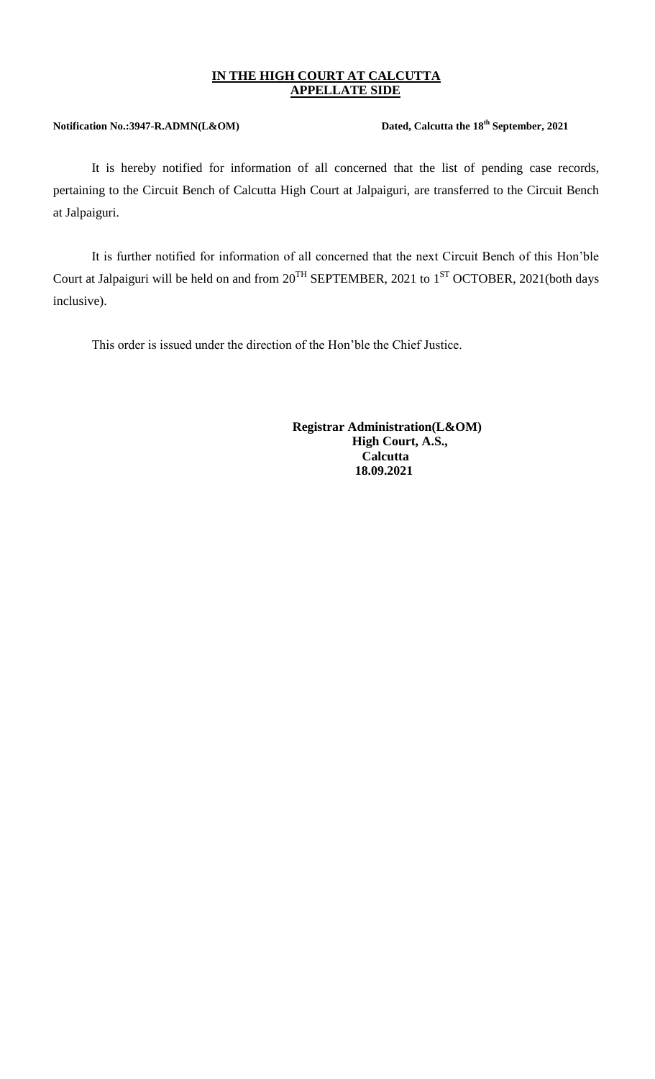## **IN THE HIGH COURT AT CALCUTTA APPELLATE SIDE**

## **Notification No.:3947-R.ADMN(L&OM)**

## Dated, Calcutta the  $18^{th}$  September, 2021

It is hereby notified for information of all concerned that the list of pending case records, pertaining to the Circuit Bench of Calcutta High Court at Jalpaiguri, are transferred to the Circuit Bench at Jalpaiguri.

It is further notified for information of all concerned that the next Circuit Bench of this Hon'ble Court at Jalpaiguri will be held on and from  $20^{TH}$  SEPTEMBER, 2021 to  $1^{ST}$  OCTOBER, 2021(both days inclusive).

This order is issued under the direction of the Hon'ble the Chief Justice.

 **Registrar Administration(L&OM) High Court, A.S., Calcutta 18.09.2021**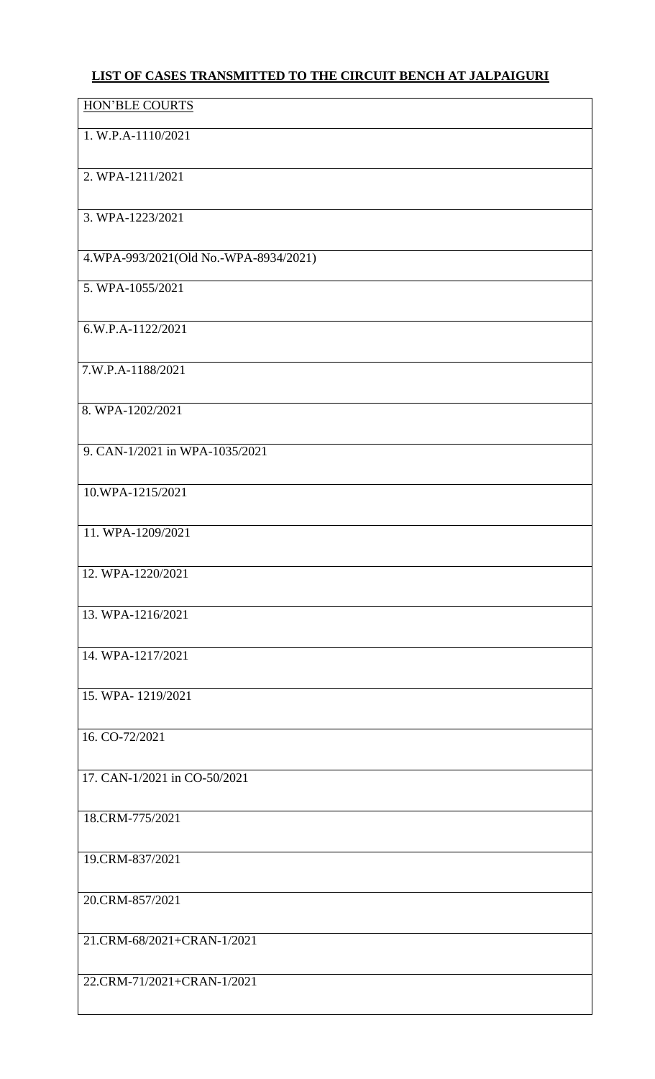## **LIST OF CASES TRANSMITTED TO THE CIRCUIT BENCH AT JALPAIGURI**

| 1. W.P.A-1110/2021<br>2. WPA-1211/2021<br>3. WPA-1223/2021 |
|------------------------------------------------------------|
|                                                            |
|                                                            |
|                                                            |
| 4.WPA-993/2021(Old No.-WPA-8934/2021)                      |
| 5. WPA-1055/2021                                           |
| 6.W.P.A-1122/2021                                          |
| 7.W.P.A-1188/2021                                          |
| 8. WPA-1202/2021                                           |
| 9. CAN-1/2021 in WPA-1035/2021                             |
| 10.WPA-1215/2021                                           |
| 11. WPA-1209/2021                                          |
| 12. WPA-1220/2021                                          |
| 13. WPA-1216/2021                                          |
| 14. WPA-1217/2021                                          |
| 15. WPA-1219/2021                                          |
| 16. CO-72/2021                                             |
| 17. CAN-1/2021 in CO-50/2021                               |
| 18.CRM-775/2021                                            |
| 19.CRM-837/2021                                            |
| 20.CRM-857/2021                                            |
| 21.CRM-68/2021+CRAN-1/2021                                 |
| 22.CRM-71/2021+CRAN-1/2021                                 |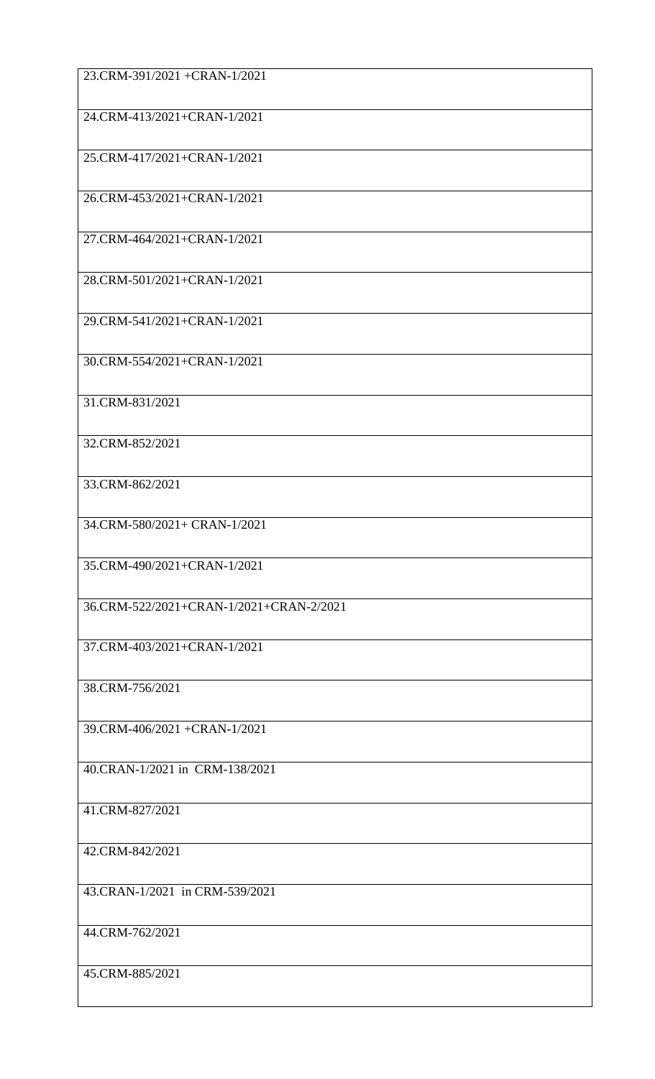| 23.CRM-391/2021 +CRAN-1/2021            |
|-----------------------------------------|
| 24.CRM-413/2021+CRAN-1/2021             |
| 25.CRM-417/2021+CRAN-1/2021             |
| 26.CRM-453/2021+CRAN-1/2021             |
| 27.CRM-464/2021+CRAN-1/2021             |
| 28.CRM-501/2021+CRAN-1/2021             |
| 29.CRM-541/2021+CRAN-1/2021             |
| 30.CRM-554/2021+CRAN-1/2021             |
| 31.CRM-831/2021                         |
| 32.CRM-852/2021                         |
| 33.CRM-862/2021                         |
| 34.CRM-580/2021+ CRAN-1/2021            |
| 35.CRM-490/2021+CRAN-1/2021             |
| 36.CRM-522/2021+CRAN-1/2021+CRAN-2/2021 |
| 37.CRM-403/2021+CRAN-1/2021             |
| 38.CRM-756/2021                         |
| 39.CRM-406/2021 +CRAN-1/2021            |
| 40.CRAN-1/2021 in CRM-138/2021          |
| 41.CRM-827/2021                         |
| 42.CRM-842/2021                         |
| 43.CRAN-1/2021 in CRM-539/2021          |
| 44.CRM-762/2021                         |
| 45.CRM-885/2021                         |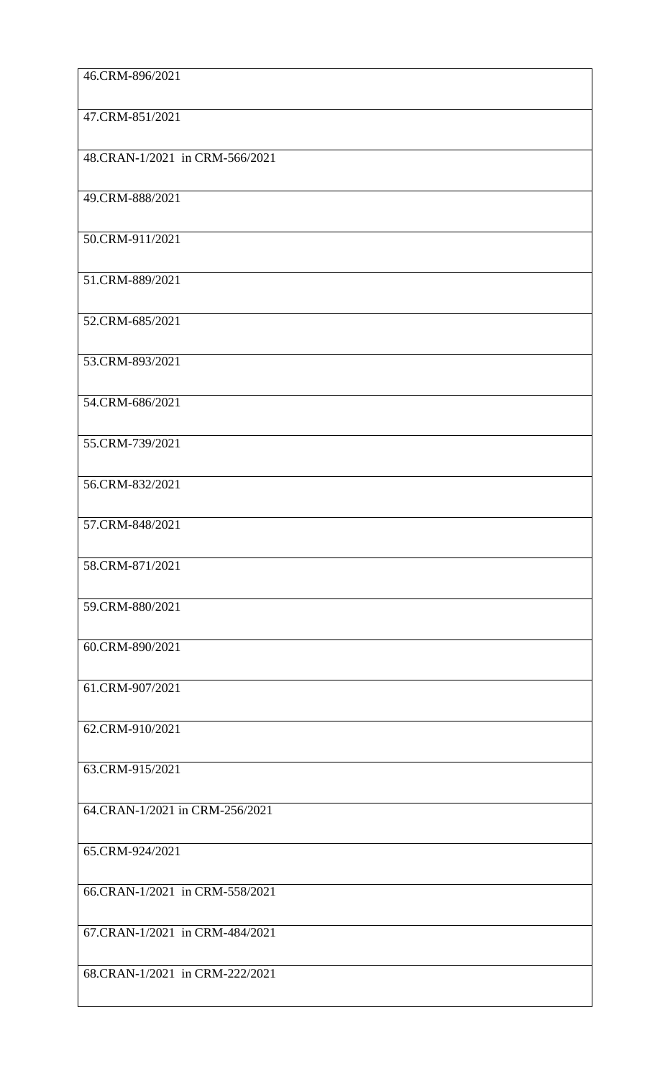| 46.CRM-896/2021                |
|--------------------------------|
| 47.CRM-851/2021                |
| 48.CRAN-1/2021 in CRM-566/2021 |
| 49.CRM-888/2021                |
| 50.CRM-911/2021                |
| 51.CRM-889/2021                |
| 52.CRM-685/2021                |
| 53.CRM-893/2021                |
| 54.CRM-686/2021                |
| 55.CRM-739/2021                |
| 56.CRM-832/2021                |
| 57.CRM-848/2021                |
| 58.CRM-871/2021                |
| 59.CRM-880/2021                |
| 60.CRM-890/2021                |
| 61.CRM-907/2021                |
| 62.CRM-910/2021                |
| 63.CRM-915/2021                |
| 64.CRAN-1/2021 in CRM-256/2021 |
| 65.CRM-924/2021                |
| 66.CRAN-1/2021 in CRM-558/2021 |
| 67.CRAN-1/2021 in CRM-484/2021 |
| 68.CRAN-1/2021 in CRM-222/2021 |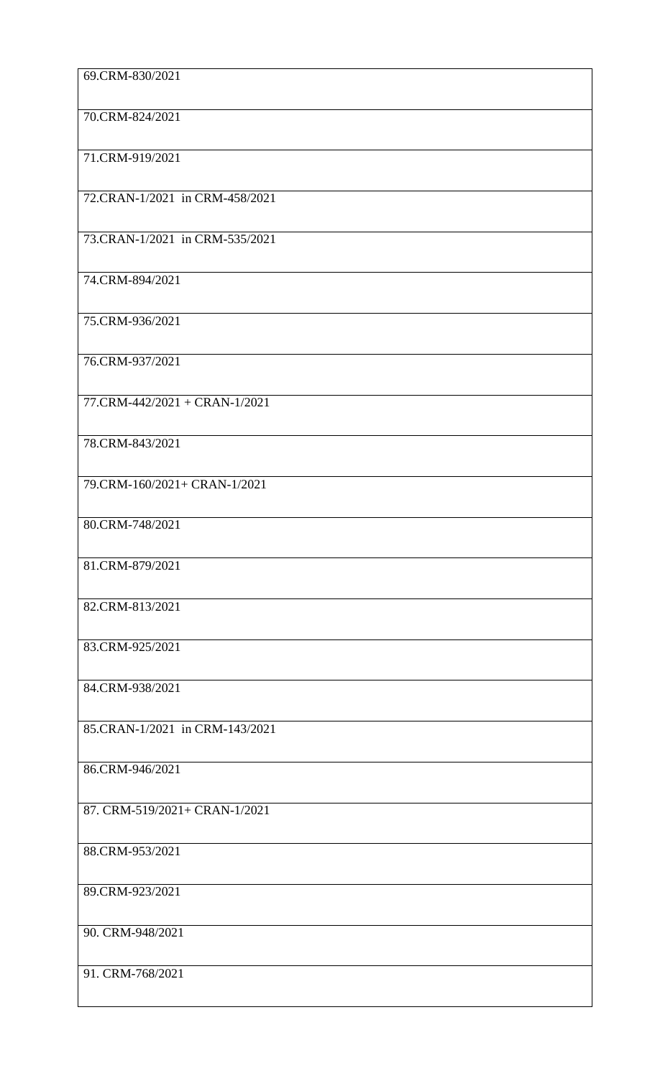| 69.CRM-830/2021                |
|--------------------------------|
| 70.CRM-824/2021                |
| 71.CRM-919/2021                |
| 72.CRAN-1/2021 in CRM-458/2021 |
| 73.CRAN-1/2021 in CRM-535/2021 |
| 74.CRM-894/2021                |
| 75.CRM-936/2021                |
| 76.CRM-937/2021                |
| 77.CRM-442/2021 + CRAN-1/2021  |
| 78.CRM-843/2021                |
| 79.CRM-160/2021+ CRAN-1/2021   |
| 80.CRM-748/2021                |
| 81.CRM-879/2021                |
| 82.CRM-813/2021                |
| 83.CRM-925/2021                |
| 84.CRM-938/2021                |
| 85.CRAN-1/2021 in CRM-143/2021 |
| 86.CRM-946/2021                |
| 87. CRM-519/2021+ CRAN-1/2021  |
| 88.CRM-953/2021                |
| 89.CRM-923/2021                |
| 90. CRM-948/2021               |
| 91. CRM-768/2021               |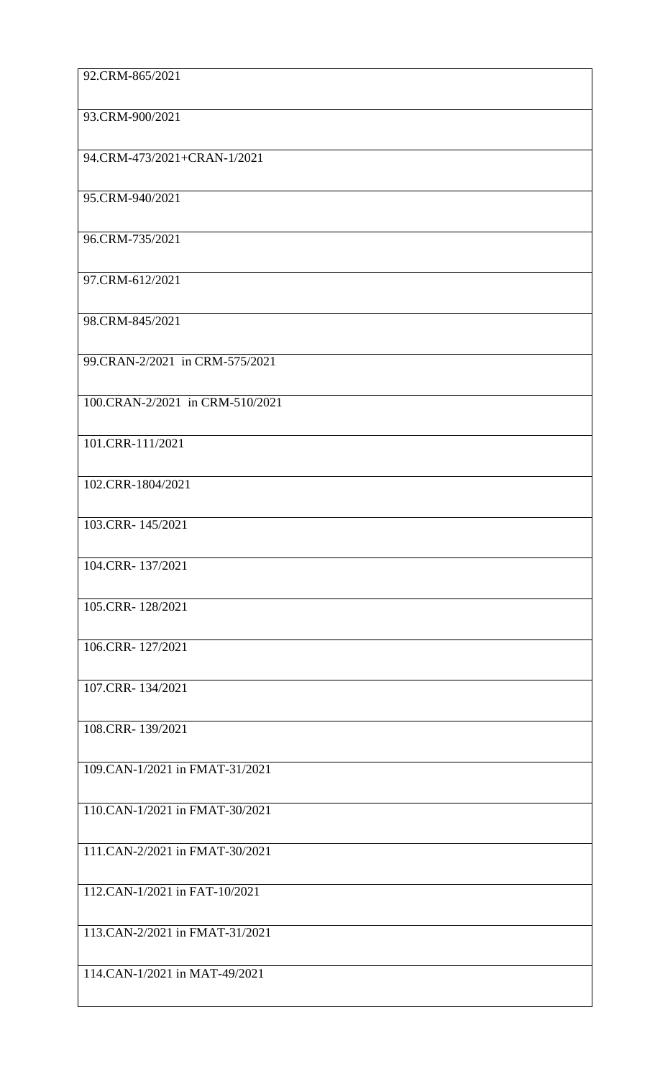| 92.CRM-865/2021                 |
|---------------------------------|
| 93.CRM-900/2021                 |
| 94.CRM-473/2021+CRAN-1/2021     |
| 95.CRM-940/2021                 |
| 96.CRM-735/2021                 |
| 97.CRM-612/2021                 |
| 98.CRM-845/2021                 |
| 99.CRAN-2/2021 in CRM-575/2021  |
| 100.CRAN-2/2021 in CRM-510/2021 |
| 101.CRR-111/2021                |
| 102.CRR-1804/2021               |
| 103.CRR-145/2021                |
| 104.CRR-137/2021                |
| 105.CRR-128/2021                |
| 106.CRR-127/2021                |
| 107.CRR-134/2021                |
| 108.CRR-139/2021                |
| 109.CAN-1/2021 in FMAT-31/2021  |
| 110.CAN-1/2021 in FMAT-30/2021  |
| 111.CAN-2/2021 in FMAT-30/2021  |
| 112.CAN-1/2021 in FAT-10/2021   |
| 113.CAN-2/2021 in FMAT-31/2021  |
| 114.CAN-1/2021 in MAT-49/2021   |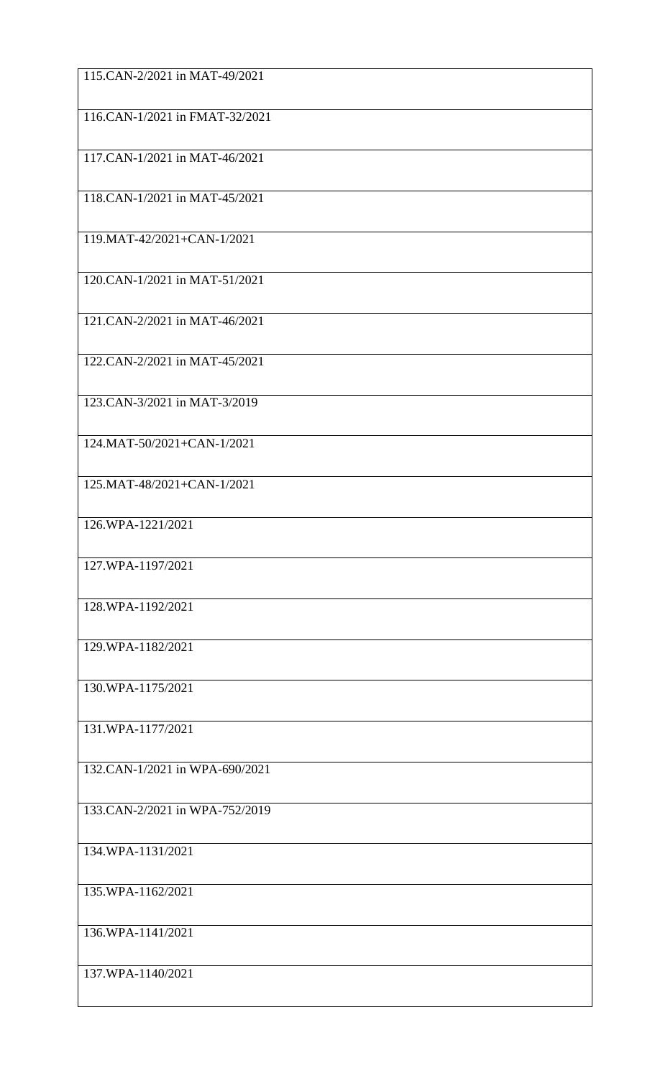| 115.CAN-2/2021 in MAT-49/2021  |
|--------------------------------|
| 116.CAN-1/2021 in FMAT-32/2021 |
| 117.CAN-1/2021 in MAT-46/2021  |
| 118.CAN-1/2021 in MAT-45/2021  |
| 119.MAT-42/2021+CAN-1/2021     |
| 120.CAN-1/2021 in MAT-51/2021  |
| 121.CAN-2/2021 in MAT-46/2021  |
| 122.CAN-2/2021 in MAT-45/2021  |
| 123.CAN-3/2021 in MAT-3/2019   |
| 124.MAT-50/2021+CAN-1/2021     |
| 125.MAT-48/2021+CAN-1/2021     |
| 126.WPA-1221/2021              |
| 127.WPA-1197/2021              |
| 128.WPA-1192/2021              |
| 129.WPA-1182/2021              |
| 130.WPA-1175/2021              |
| 131.WPA-1177/2021              |
| 132.CAN-1/2021 in WPA-690/2021 |
| 133.CAN-2/2021 in WPA-752/2019 |
| 134.WPA-1131/2021              |
| 135.WPA-1162/2021              |
| 136.WPA-1141/2021              |
| 137.WPA-1140/2021              |
|                                |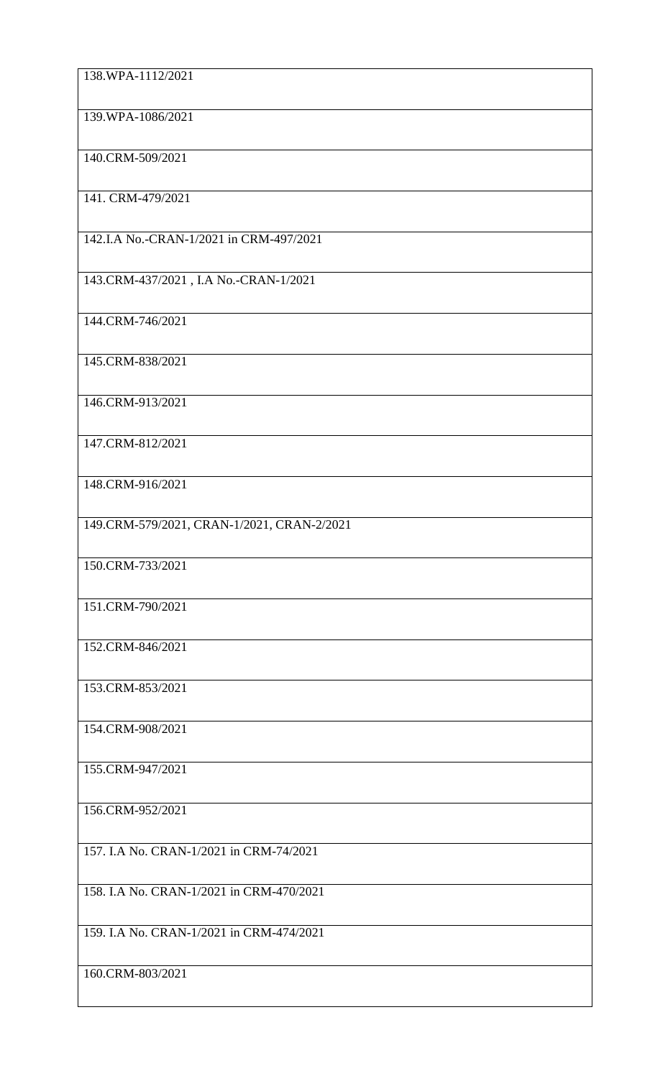| 138.WPA-1112/2021                          |
|--------------------------------------------|
| 139.WPA-1086/2021                          |
| 140.CRM-509/2021                           |
| 141. CRM-479/2021                          |
| 142.I.A No.-CRAN-1/2021 in CRM-497/2021    |
| 143.CRM-437/2021, I.A No.-CRAN-1/2021      |
| 144.CRM-746/2021                           |
| 145.CRM-838/2021                           |
| 146.CRM-913/2021                           |
| 147.CRM-812/2021                           |
| 148.CRM-916/2021                           |
| 149.CRM-579/2021, CRAN-1/2021, CRAN-2/2021 |
| 150.CRM-733/2021                           |
| 151.CRM-790/2021                           |
| 152.CRM-846/2021                           |
| 153.CRM-853/2021                           |
| 154.CRM-908/2021                           |
| 155.CRM-947/2021                           |
| 156.CRM-952/2021                           |
| 157. I.A No. CRAN-1/2021 in CRM-74/2021    |
| 158. I.A No. CRAN-1/2021 in CRM-470/2021   |
| 159. I.A No. CRAN-1/2021 in CRM-474/2021   |
| 160.CRM-803/2021                           |
|                                            |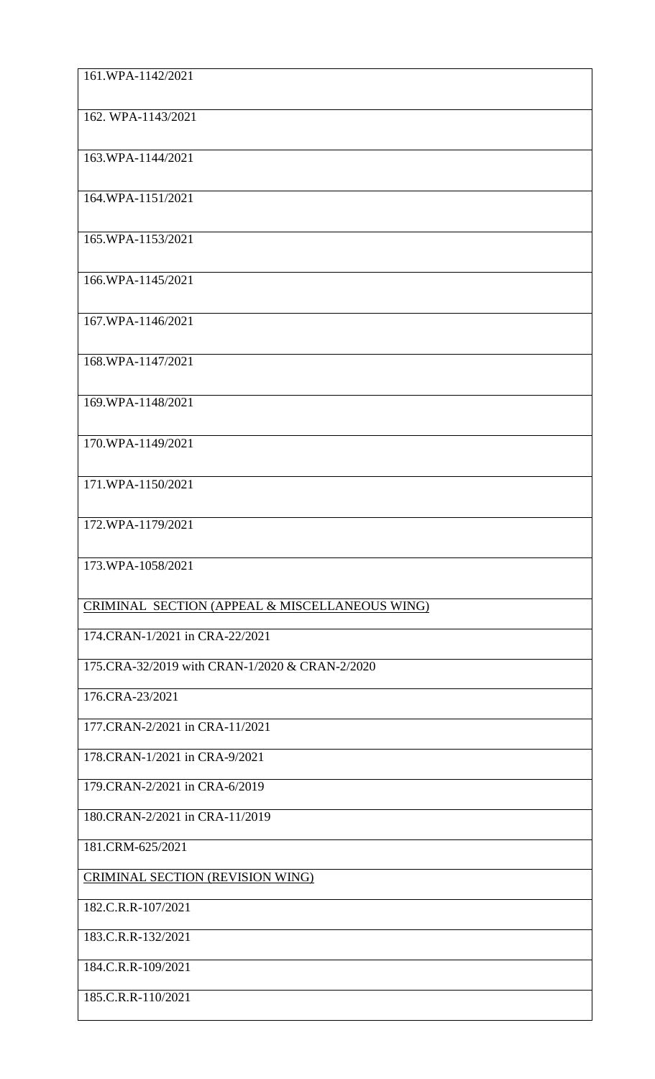| 161.WPA-1142/2021                              |
|------------------------------------------------|
| 162. WPA-1143/2021                             |
| 163.WPA-1144/2021                              |
| 164.WPA-1151/2021                              |
| 165.WPA-1153/2021                              |
| 166.WPA-1145/2021                              |
| 167.WPA-1146/2021                              |
| 168.WPA-1147/2021                              |
| 169.WPA-1148/2021                              |
| 170.WPA-1149/2021                              |
| 171.WPA-1150/2021                              |
| 172.WPA-1179/2021                              |
| 173.WPA-1058/2021                              |
| CRIMINAL SECTION (APPEAL & MISCELLANEOUS WING) |
| 174.CRAN-1/2021 in CRA-22/2021                 |
| 175.CRA-32/2019 with CRAN-1/2020 & CRAN-2/2020 |
| 176.CRA-23/2021                                |
| 177.CRAN-2/2021 in CRA-11/2021                 |
| 178.CRAN-1/2021 in CRA-9/2021                  |
| 179.CRAN-2/2021 in CRA-6/2019                  |
| 180.CRAN-2/2021 in CRA-11/2019                 |
| 181.CRM-625/2021                               |
| CRIMINAL SECTION (REVISION WING)               |
| 182.C.R.R-107/2021                             |
| 183.C.R.R-132/2021                             |
| 184.C.R.R-109/2021                             |
| 185.C.R.R-110/2021                             |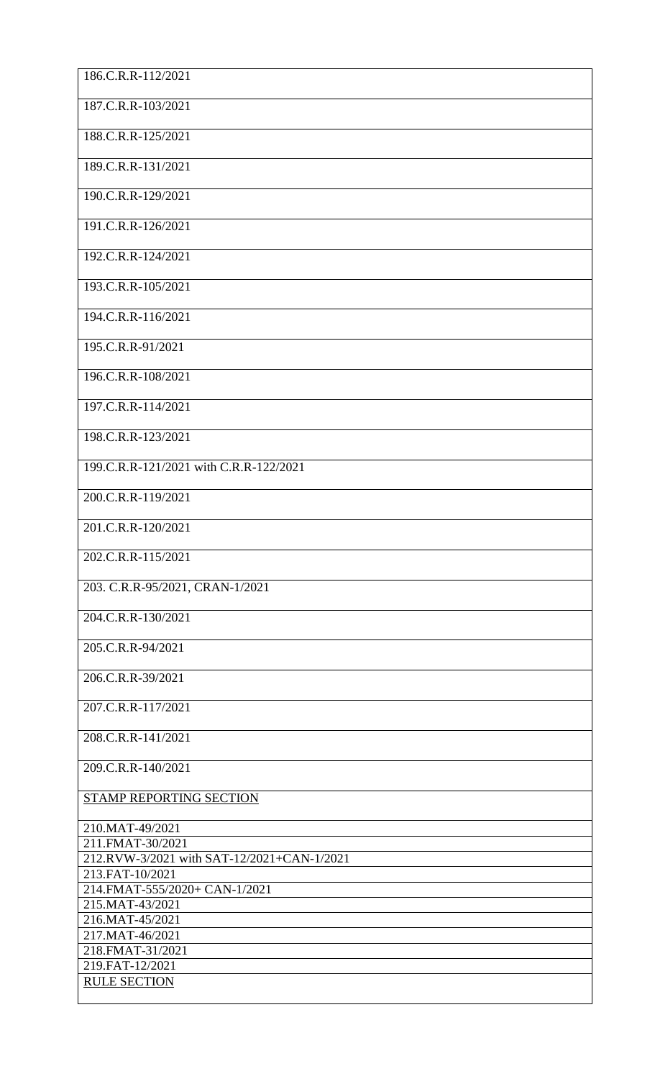| 186.C.R.R-112/2021                                             |
|----------------------------------------------------------------|
| 187.C.R.R-103/2021                                             |
| 188.C.R.R-125/2021                                             |
| 189.C.R.R-131/2021                                             |
| 190.C.R.R-129/2021                                             |
| 191.C.R.R-126/2021                                             |
| 192.C.R.R-124/2021                                             |
| 193.C.R.R-105/2021                                             |
| 194.C.R.R-116/2021                                             |
| 195.C.R.R-91/2021                                              |
| 196.C.R.R-108/2021                                             |
| 197.C.R.R-114/2021                                             |
| 198.C.R.R-123/2021                                             |
| 199.C.R.R-121/2021 with C.R.R-122/2021                         |
| 200.C.R.R-119/2021                                             |
| 201.C.R.R-120/2021                                             |
| 202.C.R.R-115/2021                                             |
| 203. C.R.R-95/2021, CRAN-1/2021                                |
| 204.C.R.R-130/2021                                             |
| 205.C.R.R-94/2021                                              |
| 206.C.R.R-39/2021                                              |
| 207.C.R.R-117/2021                                             |
| 208.C.R.R-141/2021                                             |
| 209.C.R.R-140/2021                                             |
| <b>STAMP REPORTING SECTION</b>                                 |
| 210.MAT-49/2021                                                |
| 211.FMAT-30/2021<br>212.RVW-3/2021 with SAT-12/2021+CAN-1/2021 |
| 213.FAT-10/2021                                                |
| 214.FMAT-555/2020+ CAN-1/2021<br>215.MAT-43/2021               |
| 216.MAT-45/2021                                                |
| 217.MAT-46/2021                                                |
| 218.FMAT-31/2021<br>219.FAT-12/2021                            |
| <b>RULE SECTION</b>                                            |
|                                                                |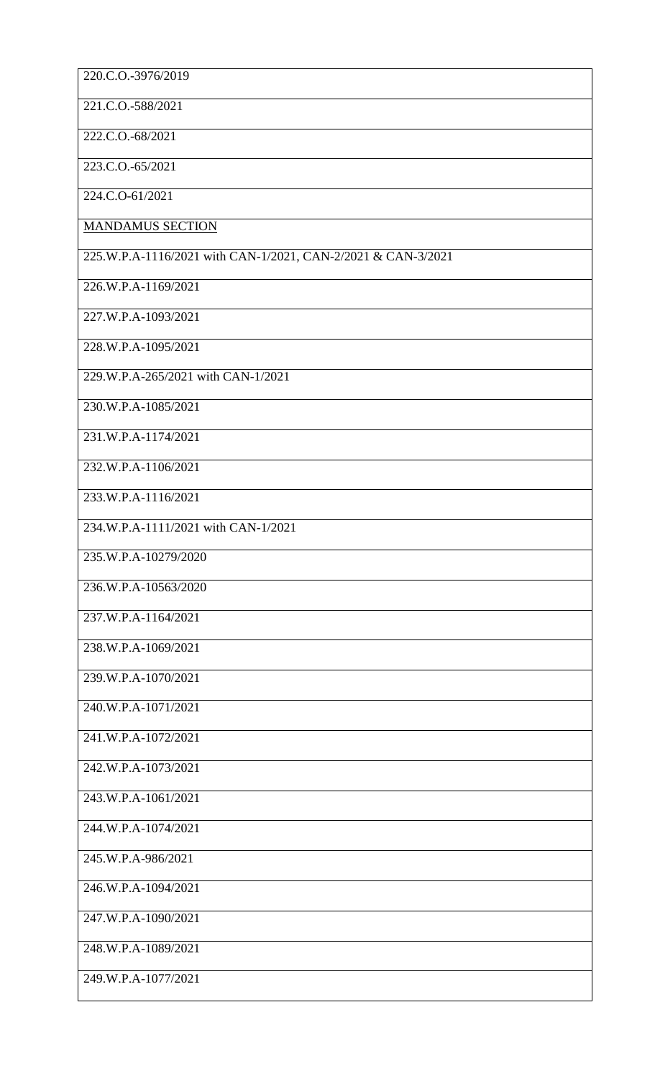| 220.C.O.-3976/2019                                           |
|--------------------------------------------------------------|
|                                                              |
| 221.C.O.-588/2021                                            |
| 222.C.O.-68/2021                                             |
| 223.C.O.-65/2021                                             |
| 224.C.O-61/2021                                              |
| <b>MANDAMUS SECTION</b>                                      |
| 225.W.P.A-1116/2021 with CAN-1/2021, CAN-2/2021 & CAN-3/2021 |
| 226.W.P.A-1169/2021                                          |
| 227.W.P.A-1093/2021                                          |
| 228.W.P.A-1095/2021                                          |
| 229.W.P.A-265/2021 with CAN-1/2021                           |
| 230.W.P.A-1085/2021                                          |
| 231.W.P.A-1174/2021                                          |
|                                                              |
| 232.W.P.A-1106/2021                                          |
| 233.W.P.A-1116/2021                                          |
| 234.W.P.A-1111/2021 with CAN-1/2021                          |
| 235.W.P.A-10279/2020                                         |
| 236.W.P.A-10563/2020                                         |
| 237.W.P.A-1164/2021                                          |
| 238.W.P.A-1069/2021                                          |
| 239.W.P.A-1070/2021                                          |
| 240.W.P.A-1071/2021                                          |
| 241.W.P.A-1072/2021                                          |
| 242.W.P.A-1073/2021                                          |
| 243.W.P.A-1061/2021                                          |
| 244.W.P.A-1074/2021                                          |
| 245.W.P.A-986/2021                                           |
| 246.W.P.A-1094/2021                                          |
| 247.W.P.A-1090/2021                                          |
| 248.W.P.A-1089/2021                                          |
| 249.W.P.A-1077/2021                                          |
|                                                              |